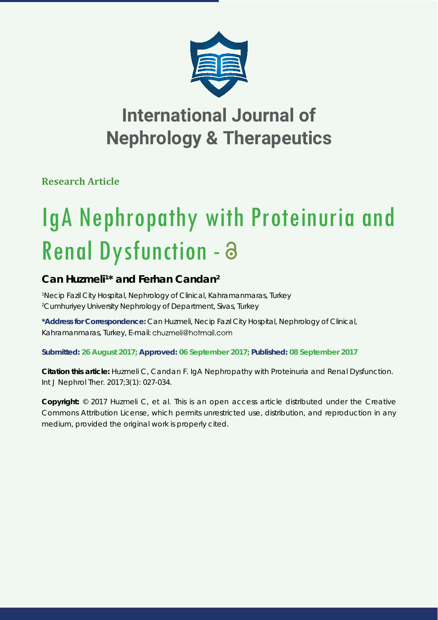

## **International Journal of Nephrology & Therapeutics**

**Research Article**

# IgA Nephropathy with Proteinuria and Renal Dysfunction - a

## Can Huzmeli<sup>1\*</sup> and Ferhan Candan<sup>2</sup>

*1 Necip Fazil City Hospital, Nephrology of Clinical, Kahramanmaras, Turkey 2 Cumhuriyey University Nephrology of Department, Sivas, Turkey*

**\*Address for Correspondence:** Can Huzmeli, Necip Fazıl City Hospital, Nephrology of Clinical, Kahramanmaras, Turkey, E-mail: chuzmeli@hotmail.com

**Submitted: 26 August 2017; Approved: 06 September 2017; Published: 08 September 2017**

**Citation this article:** Huzmeli C, Candan F. IgA Nephropathy with Proteinuria and Renal Dysfunction. Int J Nephrol Ther. 2017;3(1): 027-034.

**Copyright:** © 2017 Huzmeli C, et al. This is an open access article distributed under the Creative Commons Attribution License, which permits unrestricted use, distribution, and reproduction in any medium, provided the original work is properly cited.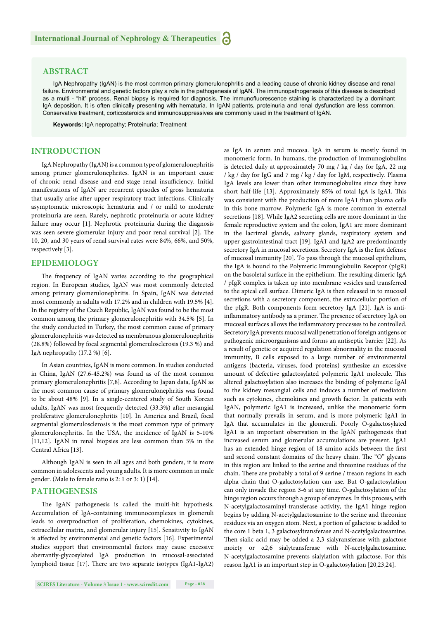## **ABSTRACT**

IgA Nephropathy (IgAN) is the most common primary glomerulonephritis and a leading cause of chronic kidney disease and renal failure. Environmental and genetic factors play a role in the pathogenesis of IgAN. The immunopathogenesis of this disease is described as a multi - "hit" process. Renal biopsy is required for diagnosis. The immunofluorescence staining is characterized by a dominant IgA deposition. It is often clinically presenting with hematuria. In IgAN patients, proteinuria and renal dysfunction are less common. Conservative treatment, corticosteroids and immunosuppressives are commonly used in the treatment of IgAN.

**Keywords:** IgA nepropathy; Proteinuria; Treatment

## **INTRODUCTION**

IgA Nephropathy (IgAN) is a common type of glomerulonephritis among primer glomerulonephrites. IgAN is an important cause of chronic renal disease and end-stage renal insufficiency. Initial manifestations of IgAN are recurrent episodes of gross hematuria that usually arise after upper respiratory tract infections. Clinically asymptomatic microscopic hematuria and / or mild to moderate proteinuria are seen. Rarely, nephrotic proteinuria or acute kidney failure may occur [1]. Nephrotic proteinuria during the diagnosis was seen severe glomerular injury and poor renal survival [2]. The 10, 20, and 30 years of renal survival rates were 84%, 66%, and 50%, respectively [3].

#### **EPIDEMIOLOGY**

The frequency of IgAN varies according to the geographical region. In European studies, IgAN was most commonly detected among primary glomerulonephritis. In Spain, IgAN was detected most commonly in adults with 17.2% and in children with 19.5% [4]. In the registry of the Czech Republic, IgAN was found to be the most common among the primary glomerulonephritis with 34.5% [5]. In the study conducted in Turkey, the most common cause of primary glomerulonephritis was detected as membranous glomerulonephritis (28.8%) followed by focal segmental glomerulosclerosis (19.3 %) and IgA nephropathy (17.2 %) [6].

In Asian countries, IgAN is more common. In studies conducted in China, IgAN (27.6-45.2%) was found as of the most common primary glomerulonephritis [7,8]. According to Japan data, IgAN as the most common cause of primary glomerulonephritis was found to be about 48% [9]. In a single-centered study of South Korean adults, IgAN was most frequently detected (33.3%) after mesangial proliferative glomerulonephritis [10]. In America and Brazil, focal segmental glomerulosclerosis is the most common type of primary glomerulonephritis. In the USA, the incidence of IgAN is 5-10% [11,12]. IgAN in renal biopsies are less common than 5% in the Central Africa [13].

Although IgAN is seen in all ages and both genders, it is more common in adolescents and young adults. It is more common in male gender. (Male to female ratio is 2: 1 or 3: 1) [14].

#### **PATHOGENESIS**

The IgAN pathogenesis is called the multi-hit hypothesis. Accumulation of IgA-containing immunocomplexes in glomeruli leads to overproduction of proliferation, chemokines, cytokines, extracellular matrix, and glomerular injury [15]. Sensitivity to IgAN is affected by environmental and genetic factors [16]. Experimental studies support that environmental factors may cause excessive aberrantly-glycosylated IgA production in mucosal-associated lymphoid tissue [17]. There are two separate isotypes (IgA1-IgA2)

**SCIRES Literature - Volume 3 Issue 1 - www.scireslit.com Page - 028**

as IgA in serum and mucosa. IgA in serum is mostly found in monomeric form. In humans, the production of immunoglobulins is detected daily at approximately 70 mg / kg / day for IgA, 22 mg / kg / day for IgG and 7 mg / kg / day for IgM, respectively. Plasma IgA levels are lower than other immunoglobulins since they have short half-life [13]. Approximately 85% of total IgA is IgA1. This was consistent with the production of more IgA1 than plasma cells in this bone marrow. Polymeric IgA is more common in external secretions [18]. While IgA2 secreting cells are more dominant in the female reproductive system and the colon, IgA1 are more dominant in the lacrimal glands, salivary glands, respiratory system and upper gastrointestinal tract [19]. IgA1 and IgA2 are predominantly secretory IgA in mucosal secretions. Secretory IgA is the first defense of mucosal immunity [20]. To pass through the mucosal epithelium, the IgA is bound to the Polymeric Immunglobulin Receptor (pIgR) on the basoletal surface in the epithelium. The resulting dimeric IgA / pIgR complex is taken up into membrane vesicles and transferred to the apical cell surface. Dimeric IgA is then released in to mucosal secretions with a secretory component, the extracellular portion of the pIgR. Both components form secretory IgA [21]. IgA is antiinflammatory antibody as a primer. The presence of secretory IgA on mucosal surfaces allows the inflammatory processes to be controlled. Secretory IgA prevents mucosal wall penetration of foreign antigens or pathogenic microorganisms and forms an antiseptic barrier [22]. As a result of genetic or acquired regulation abnormality in the mucosal immunity, B cells exposed to a large number of environmental antigens (bacteria, viruses, food proteins) synthesize an excessive amount of defective galactosylated polymeric IgA1 molecule. This altered galactosylation also increases the binding of polymeric IgAl to the kidney mesangial cells and induces a number of mediators such as cytokines, chemokines and growth factor. In patients with IgAN, polymeric IgA1 is increased, unlike the monomeric form that normally prevails in serum, and is more polymeric IgA1 in IgA that accumulates in the glomeruli. Poorly O-galactosylated IgA1 is an important observation in the IgAN pathogenesis that increased serum and glomerular accumulations are present. IgA1 has an extended hinge region of 18 amino acids between the first and second constant domains of the heavy chain. The "O" glycans in this region are linked to the serine and threonine residues of the chain. There are probably a total of 9 serine / treaon regions in each alpha chain that O-galactosylation can use. But O-galactosylation can only invade the region 3-6 at any time. O-galactosylation of the hinge region occurs through a group of enzymes. In this process, with N-acetylgalactosaminyl-transferase activity, the IgA1 hinge region begins by adding N-acetylgalactosamine to the serine and threonine residues via an oxygen atom. Next, a portion of galactose is added to the core 1 beta 1, 3 galactosyltransferase and N-acetylgalactosamine. Then sialic acid may be added a 2,3 sialyransferase with galactose moiety or α2,6 sialytransferase with N-acetylgalactosamine. N-acetylgalactosamine prevents sialylation with galactose. For this reason IgA1 is an important step in O-galactosylation [20,23,24].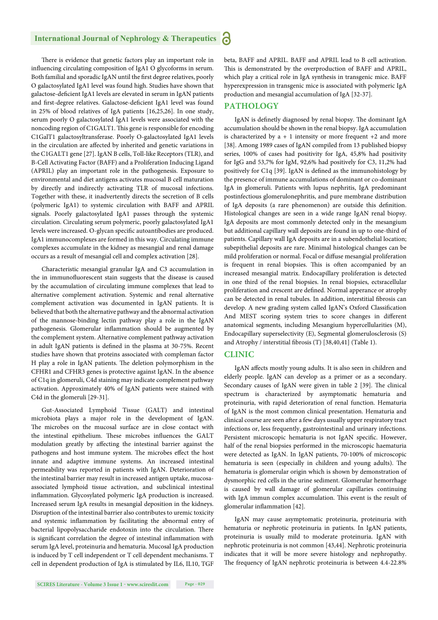#### **International Journal of Nephrology & Therapeutics** 6

There is evidence that genetic factors play an important role in influencing circulating composition of IgA1 O glycoforms in serum. Both familial and sporadic IgAN until the first degree relatives, poorly O galactosylated IgA1 level was found high. Studies have shown that galactose-deficient IgA1 levels are elevated in serum in IgAN patients and first-degree relatives. Galactose-deficient IgA1 level was found in 25% of blood relatives of IgA patients [16,25,26]. In one study, serum poorly O galactosylated IgA1 levels were associated with the noncoding region of C1GALT1. This gene is responsible for encoding C1GalT1 galactosyltransferase. Poorly O-galactosylated IgA1 levels in the circulation are affected by inherited and genetic variations in the C1GALT1 gene [27]. IgAN B cells, Toll-like Receptors (TLR), and B-Cell Activating Factor (BAFF) and a Proliferation Inducing Ligand (APRIL) play an important role in the pathogenesis. Exposure to environmental and diet antigens activates mucosal B cell maturation by directly and indirectly activating TLR of mucosal infections. Together with these, it inadvertently directs the secretion of B cells (polymeric IgA1) to systemic circulation with BAFF and APRIL signals. Poorly galactosylated IgA1 passes through the systemic circulation. Circulating serum polymeric, poorly galactosylated IgA1 levels were increased. O-glycan specific autoantibodies are produced. IgA1 immunocomplexes are formed in this way. Circulating immune complexes accumulate in the kidney as mesangial and renal damage occurs as a result of mesangial cell and complex activation [28].

Characteristic mesangial granular IgA and C3 accumulation in the in immunofluorescent stain suggests that the disease is caused by the accumulation of circulating immune complexes that lead to alternative complement activation. Systemic and renal alternative complement activation was documented in IgAN patients. It is believed that both the alternative pathway and the abnormal activation of the mannose-binding lectin pathway play a role in the IgAN pathogenesis. Glomerular inflammation should be augmented by the complement system. Alternative complement pathway activation in adult IgAN patients is defined in the plasma at 30-75%. Recent studies have shown that proteins associated with compleman factor H play a role in IgAN patients. The deletion polymorphism in the CFHR1 and CFHR3 genes is protective against IgAN. In the absence of C1q in glomeruli, C4d staining may indicate complement pathway activation. Approximately 40% of IgAN patients were stained with C4d in the glomeruli [29-31].

Gut-Associated Lymphoid Tissue (GALT) and intestinal microbiota plays a major role in the development of IgAN. The microbes on the mucosal surface are in close contact with the intestinal epithelium. These microbes influences the GALT modulation greatly by affecting the intestinal barrier against the pathogens and host immune system. The microbes effect the host innate and adaptive immune systems. An increased intestinal permeability was reported in patients with IgAN. Deterioration of the intestinal barrier may result in increased antigen uptake, mucosaassociated lymphoid tissue activation, and subclinical intestinal inflammation. Glycosylated polymeric IgA production is increased. Increased serum IgA results in mesangial deposition in the kidneys. Disruption of the intestinal barrier also contributes to uremic toxicity and systemic inflammation by facilitating the abnormal entry of bacterial lipopolysaccharide endotoxin into the circulation. There is significant correlation the degree of intestinal inflammation with serum IgA level, proteinuria and hematuria. Mucosal IgA production is induced by T cell independent or T cell dependent mechanisms. T cell in dependent production of IgA is stimulated by IL6, IL10, TGF

beta, BAFF and APRIL. BAFF and APRIL lead to B cell activation. This is demonstrated by the overproduction of BAFF and APRIL, which play a critical role in IgA synthesis in transgenic mice. BAFF hyperexpression in transgenic mice is associated with polymeric IgA production and mesangial accumulation of IgA [32-37].

#### **PATHOLOGY**

IgAN is definetly diagnosed by renal biopsy. The dominant IgA accumulation should be shown in the renal biopsy. IgA accumulation is characterized by  $a + 1$  intensity or more frequent  $+2$  and more [38]. Among 1989 cases of IgAN compiled from 13 published biopsy series, 100% of cases had positivity for IgA, 45,8% had positivity for IgG and 53,7% for IgM, 92,6% had positively for C3, 11,2% had positively for C1q [39]. IgAN is defined as the immunohistology by the presence of immune accumulations of dominant or co-dominant IgA in glomeruli. Patients with lupus nephritis, IgA predominant postinfectious glomerulonephritis, and pure membrane distribution of IgA deposits (a rare phenomenon) are outside this definition. Histological changes are seen in a wide range IgAN renal biopsy. IgA deposits are most commonly detected only in the mesangium but additional capillary wall deposits are found in up to one-third of patients. Capillary wall IgA deposits are in a subendothelial location; subepithelial deposits are rare. Minimal histological changes can be mild proliferation or normal. Focal or diffuse mesangial proliferation is frequent in renal biopsies. This is often accompanied by an increased mesangial matrix. Endocapillary proliferation is detected in one third of the renal biopsies. In renal biopsies, ectsracellular proliferation and crescent are defined. Normal apperance or atrophy can be detected in renal tubules. In addition, interstitial fibrosis can develop. A new grading system called IgAN's Oxford Classification And MEST scoring system tries to score changes in different anatomical segments, including Mesangium hypercellularities (M), Endocapillary superselectivity (E), Segmental glomerulosclerosis (S) and Atrophy / interstitial fibrosis (T) [38,40,41] (Table 1).

## **CLINIC**

IgAN affects mostly young adults. It is also seen in children and elderly people. IgAN can develop as a primer or as a secondary. Secondary causes of IgAN were given in table 2 [39]. The clinical spectrum is characterized by asymptomatic hematuria and proteinuria, with rapid deterioration of renal function. Hematuria of IgAN is the most common clinical presentation. Hematuria and clinical course are seen after a few days usually upper respiratory tract infections or, less frequently, gastrointestinal and urinary infections. Persistent microscopic hematuria is not IgAN specific. However, half of the renal biopsies performed in the microscopic haematuria were detected as IgAN. In IgAN patients, 70-100% of microscopic hematuria is seen (especially in children and young adults). The hematuria is glomerular origin which is shown by demonstration of dysmorphic red cells in the urine sediment. Glomerular hemorrhage is caused by wall damage of glomerular capillaries continuing with IgA immun complex accumulation. This event is the result of glomerular inflammation [42].

IgAN may cause asymptomatic proteinuria, proteinuria with hematuria or nephrotic proteinuria in patients. In IgAN patients, proteinuria is usually mild to moderate proteinuria. IgAN with nephrotic proteinuria is not common [43,44]. Nephrotic proteinuria indicates that it will be more severe histology and nephropathy. The frequency of IgAN nephrotic proteinuria is between 4.4-22.8%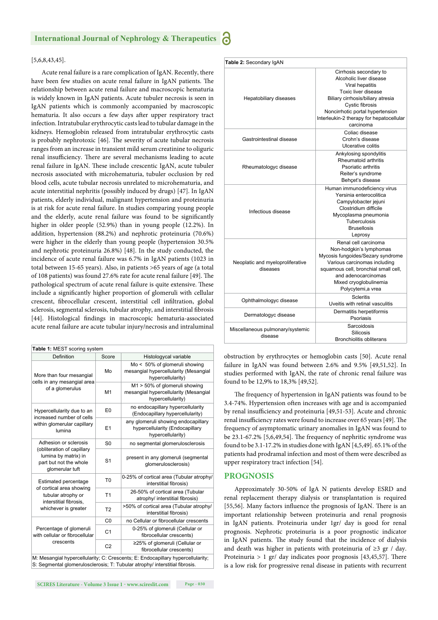#### **International Journal of Nephrology & Therapeutics**

#### [5,6,8,43,45].

Acute renal failure is a rare complication of IgAN. Recently, there have been few studies on acute renal failure in IgAN patients. The relationship between acute renal failure and macroscopic hematuria is widely known in IgAN patients. Acute tubuler necrosis is seen in IgAN patients which is commonly accompanied by macroscopic hematuria. It also occurs a few days after upper respiratory tract infection. Intratubular erythrocytic casts lead to tubular damage in the kidneys. Hemoglobin released from intratubular erythrocytic casts is probably nephrotoxic [46]. The severity of acute tubular necrosis ranges from an increase in transient mild serum creatinine to oliguric renal insufficiency. There are several mechanisms leading to acute renal failure in IgAN. These include crescentic IgAN, acute tubuler necrosis associated with microhematuria, tubuler occlusion by red blood cells, acute tubular necrosis unrelated to microhematuria, and acute interstitial nephritis (possibly induced by drugs) [47]. In IgAN patients, elderly individual, malignant hypertension and proteinuria is at risk for acute renal failure. In studies comparing young people and the elderly, acute renal failure was found to be significantly higher in older people (52.9%) than in young people (12.2%). In addition, hypertension (88.2%) and nephrotic proteinuria (70.6%) were higher in the elderly than young people (hypertension 30.5% and nephrotic proteinuria 26.8%) [48]. In the study conducted, the incidence of acute renal failure was 6.7% in IgAN patients (1023 in total between 15-65 years). Also, in patients >65 years of age (a total of 108 patients) was found 27.6% rate for acute renal failure [49]. The pathological spectrum of acute renal failure is quite extensive. These include a significantly higher proportion of glomeruli with cellular crescent, fibrocellular crescent, interstitial cell infiltration, global sclerosis, segmental sclerosis, tubular atrophy, and interstitial fibrosis [44]. Histological findings in macroscopic hematuria-associated acute renal failure are acute tubular injury/necrosis and intraluminal

| Table 1: MEST scoring system                                                                                             |                |                                                                                             |
|--------------------------------------------------------------------------------------------------------------------------|----------------|---------------------------------------------------------------------------------------------|
| Definition                                                                                                               | Score          | Histologycal variable                                                                       |
| More than four mesangial<br>cells in any mesangial area<br>of a glomerulus                                               | Mo             | Mo < 50% of glomeruli showing<br>mesangial hypercellularity (Mesangial<br>hypercellularity) |
|                                                                                                                          | M <sub>1</sub> | M1 > 50% of glomeruli showing<br>mesangial hypercellularity (Mesangial<br>hypercellularity) |
| Hypercellularity due to an<br>increased number of cells<br>within glomerular capillary<br>lumina                         | E <sub>0</sub> | no endocapillary hypercellularity<br>(Endocapillary hypercellularity)                       |
|                                                                                                                          | E1             | any glomeruli showing endocapillary<br>hypercellularity (Endocapillary<br>hypercellularity) |
| Adhesion or sclerosis<br>(obliteration of capillary<br>lumina by matrix) in<br>part but not the whole<br>glomerular tuft | S <sub>0</sub> | no segmental glomerulosclerosis                                                             |
|                                                                                                                          | S <sub>1</sub> | present in any glomeruli (segmental<br>glomerulosclerosis)                                  |
| Estimated percentage<br>of cortical area showing<br>tubular atrophy or<br>interstitial fibrosis.<br>whichever is greater | T <sub>0</sub> | 0-25% of cortical area (Tubular atrophy/<br>interstitial fibrosis)                          |
|                                                                                                                          | T <sub>1</sub> | 26-50% of cortical area (Tubular<br>atrophy/ interstitial fibrosis)                         |
|                                                                                                                          | T <sub>2</sub> | >50% of cortical area (Tubular atrophy/<br>interstitial fibrosis)                           |
| Percentage of glomeruli<br>with cellular or fibrocellular<br>crescents                                                   | C <sub>0</sub> | no Cellular or fibrocellular crescents                                                      |
|                                                                                                                          | C <sub>1</sub> | 0-25% of glomeruli (Cellular or<br>fibrocellular crescents)                                 |
|                                                                                                                          | C <sub>2</sub> | ≥25% of glomeruli (Cellular or<br>fibrocellular crescents)                                  |
|                                                                                                                          |                | M: Mesangial hypercellularity; C: Crescents; E: Endocapillary hypercellularity;             |

S: Segmental glomerulosclerosis; T: Tubular atrophy/ interstitial fibrosis.

| Table 2: Secondary IgAN                      |                                                                                                                                                                                                                                                  |
|----------------------------------------------|--------------------------------------------------------------------------------------------------------------------------------------------------------------------------------------------------------------------------------------------------|
| Hepatobiliary diseases                       | Cirrhosis secondary to<br>Alcoholic liver disease<br>Viral hepatitis<br>Toxic liver disease<br>Biliary cirrhosis/biliary atresia<br>Cystic fibrosis<br>Noncirrhotic portal hypertension<br>Interleukin-2 therapy for hepatocellular<br>carcinoma |
| Gastrointestinal disease                     | Coliac disease<br>Crohn's disease<br>Ulcerative colitis                                                                                                                                                                                          |
| Rheumatologyc disease                        | Ankylosing spondylitis<br>Rheumatoid arthritis<br>Psoriatic arthritis<br>Reiter's syndrome<br>Behçet's disease                                                                                                                                   |
| Infectious disease                           | Human immunodeficiency virus<br>Yersinia enterocolitica<br>Campylobacter jejuni<br>Clostridium difficile<br>Mycoplasma pneumonia<br><b>Tuberculosis</b><br><b>Brusellosis</b><br>Leprosy                                                         |
| Neoplatic and myeloproliferative<br>diseases | Renal cell carcinoma<br>Non-hodgkin's lymphomas<br>Mycosis fungoides/Sezary syndrome<br>Various carcinomas including<br>squamous cell, bronchial small cell,<br>and adenocarcinomas<br>Mixed cryoglobulinemia<br>Polycytemi, a vrea              |
| Ophthalmologyc disease                       | <b>Scleritis</b><br>Uveitis with retinal vasculitis                                                                                                                                                                                              |
| Dermatologyc disease                         | Dermatitis herpetiformis<br>Psoriasis                                                                                                                                                                                                            |
| Miscellaneous pulmonary/systemic<br>disease  | Sarcoidosis<br><b>Silicosis</b><br>Bronchiolitis obliterans                                                                                                                                                                                      |

obstruction by erythrocytes or hemoglobin casts [50]. Acute renal failure in IgAN was found between 2.6% and 9.5% [49,51,52]. In studies performed with IgAN, the rate of chronic renal failure was found to be 12,9% to 18,3% [49,52].

The frequency of hypertension in IgAN patients was found to be 3.4-74%. Hypertension often increases with age and is accompanied by renal insufficiency and proteinuria [49,51-53]. Acute and chronic renal insufficiency rates were found to increase over 65 years [49]. The frequency of asymptomatic urinary anomalies in IgAN was found to be 23.1-67.2% [5,6,49,54]. The frequency of nephritic syndrome was found to be 3.1-17.2% in studies done with IgAN [4,5,49]. 65.1% of the patients had prodramal infection and most of them were described as upper respiratory tract infection [54].

#### **PROGNOSIS**

Approximately 30-50% of IgA N patients develop ESRD and renal replacement therapy dialysis or transplantation is required [55,56]. Many factors influence the prognosis of IgAN. There is an important relationship between proteinuria and renal prognosis in IgAN patients. Proteinuria under 1gr/ day is good for renal prognosis. Nephrotic proteinuria is a poor prognostic indicator in IgAN patients. The study found that the incidence of dialysis and death was higher in patients with proteinuria of ≥3 gr / day. Proteinuria > 1 gr/ day indicates poor prognosis  $[43, 45, 57]$ . There is a low risk for progressive renal disease in patients with recurrent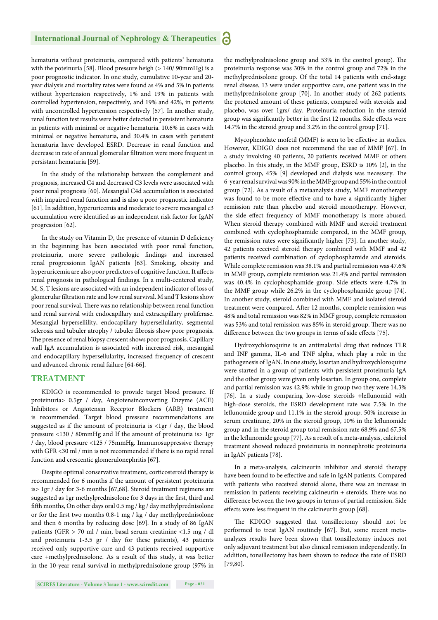hematuria without proteinuria, compared with patients' hematuria with the poteinuria [58]. Blood pressure heigh (> 140/ 90mmHg) is a poor prognostic indicator. In one study, cumulative 10-year and 20 year dialysis and mortality rates were found as 4% and 5% in patients without hypertension respectively, 1% and 19% in patients with controlled hypertension, respectively, and 19% and 42%, in patients with uncontrolled hypertension respectively [57]. In another study, renal function test results were better detected in persistent hematuria in patients with minimal or negative hematuria. 10.6% in cases with minimal or negative hematuria, and 30.4% in cases with peristent hematuria have developed ESRD. Decrease in renal function and decrease in rate of annual glomerular filtration were more frequent in persistant hematuria [59].

In the study of the relationship between the complement and prognosis, increased C4 and decreased C3 levels were associated with poor renal prognosis [60]. Mesangial C4d accumulation is associated with impaired renal function and is also a poor prognostic indicator [61]. In addition, hyperuricemia and moderate to severe mesangial c3 accumulation were identified as an independent risk factor for IgAN progression [62].

In the study on Vitamin D, the presence of vitamin D deficiency in the beginning has been associated with poor renal function, proteinuria, more severe pathologic findings and increased renal progressionin IgAN patients [63]. Smoking, obesity and hyperuricemia are also poor predictors of cognitive function. It affects renal prognosis in pathological findings. In a multi-centered study, M, S, T lesions are associated with an independent indicator of loss of glomerular filtration rate and low renal survival. M and T lesions show poor renal survival. There was no relationship between renal function and renal survival with endocapillary and extracapillary proliferase. Mesangial hypersellility, endocapillary hypersellularity, segmental sclerosis and tubuler atrophy / tubuler fibrosis show poor prognosis. The presence of renal biopsy crescent shows poor prognosis. Capillary wall IgA accumulation is associated with increased risk, mesangial and endocapillary hypersellularity, increased frequency of crescent and advanced chronic renal failure [64-66].

#### **TREATMENT**

KDIGO is recommended to provide target blood pressure. If proteinuria> 0.5gr / day, Angiotensinconverting Enzyme (ACE) Inhibitors or Angiotensin Receptor Blockers (ARB) treatment is recommended. Target blood pressure recommendations are suggested as if the amount of proteinuria is <1gr / day, the blood pressure <130 / 80mmHg and If the amount of proteinuria is> 1gr / day, blood pressure <125 / 75mmHg. Immunosuppressive therapy with GFR <30 ml / min is not recommended if there is no rapid renal function and crescentic glomerulonephritis [67].

Despite optimal conservative treatment, corticosteroid therapy is recommended for 6 months if the amount of persistent proteinuria is> 1gr / day for 3-6 months [67,68]. Steroid treatment regimens are suggested as 1gr methylprednisolone for 3 days in the first, third and fifth months, On other days oral 0.5 mg / kg / day methylprednisolone or for the first two months 0.8-1 mg / kg / day methylprednisolone and then 6 months by reducing dose [69]. In a study of 86 IgAN patients (GFR > 70 ml / min, basal serum creatinine <1.5 mg / dl and proteinuria 1-3.5 gr / day for these patients), 43 patients received only supportive care and 43 patients received supportive care +methylprednisolone. As a result of this study, it was better in the 10-year renal survival in methylprednisolone group (97% in

the methylprednisolone group and 53% in the control group). The proteinuria response was 30% in the control group and 72% in the methylprednisolone group. Of the total 14 patients with end-stage renal disease, 13 were under supportive care, one patient was in the methylprednisolone group [70]. In another study of 262 patients, the protened amount of these patients, compared with steroids and placebo, was over 1grs/ day. Proteinuria reduction in the steroid group was significantly better in the first 12 months. Side effects were 14.7% in the steroid group and 3.2% in the control group [71].

Mycophenolate mofetil (MMF) is seen to be effective in studies. However, KDIGO does not recommend the use of MMF [67]. In a study involving 40 patients, 20 patients received MMF or others placebo. In this study, in the MMF group, ESRD is 10% [2], in the control group, 45% [9] developed and dialysis was necessary. The 6-year renal survival was 90% in the MMF group and 55% in the control group [72]. As a result of a metaanalysis study, MMF monotherapy was found to be more effective and to have a significantly higher remission rate than placebo and steroid monotherapy. However, the side effect frequency of MMF monotherapy is more abused. When steroid therapy combined with MMF and steroid treatment combined with cyclophosphamide compared, in the MMF group, the remission rates were significantly higher [73]. In another study, 42 patients received steroid therapy combined with MMF and 42 patients received combination of cyclophosphamide and steroids. While complete remission was 38.1% and partial remission was 47.6% in MMF group, complete remission was 21.4% and partial remission was 40.4% in cyclophosphamide group. Side effects were 4.7% in the MMF group while 26.2% in the cyclophosphamide group [74]. In another study, steroid combined with MMF and isolated steroid treatment were compared. After 12 months, complete remission was 48% and total remission was 82% in MMF group, complete remission was 53% and total remission was 85% in steroid group. There was no difference between the two groups in terms of side effects [75].

Hydroxychloroquine is an antimalarial drug that reduces TLR and INF gamma, IL-6 and TNF alpha, which play a role in the pathogenesis of IgAN. In one study, losartan and hydroxychloroquine were started in a group of patients with persistent proteinuria IgA and the other group were given only losartan. In group one, complete and partial remission was 42.9% while in group two they were 14.3% [76]. In a study comparing low-dose steroids +leflunomid with high-dose steroids, the ESRD development rate was 7.5% in the leflunomide group and 11.1% in the steroid group. 50% increase in serum creatinine, 20% in the steroid group, 10% in the leflunomide group and in the steroid group total remission rate 68.9% and 67.5% in the leflunomide group [77]. As a result of a meta-analysis, calcitriol treatment showed reduced proteinuria in nonnephrotic proteinuria in IgAN patients [78].

In a meta-analysis, calcineurin inhibitor and steroid therapy have been found to be effective and safe in IgAN patients. Compared with patients who received steroid alone, there was an increase in remission in patients receiving calcineurin  $+$  steroids. There was no difference between the two groups in terms of partial remission. Side effects were less frequent in the calcineurin group [68].

The KDIGO suggested that tonsillectomy should not be performed to treat IgAN routinely [67]. But, some recent metaanalyzes results have been shown that tonsillectomy induces not only adjuvant treatment but also clinical remission independently. In addition, tonsillectomy has been shown to reduce the rate of ESRD [79,80].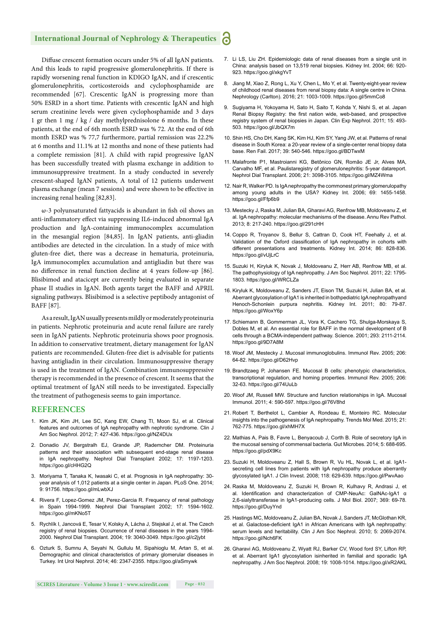#### **International Journal of Nephrology & Therapeutics** ്

Diffuse crescent formation occurs under 5% of all IgAN patients. And this leads to rapid progressive glomerulonephritis. If there is rapidly worsening renal function in KDIGO IgAN, and if crescentic glomerulonephritis, corticosteroids and cyclophosphamide are recommended [67]. Crescentic IgAN is progressing more than 50% ESRD in a short time. Patients with crescentic IgAN and high serum creatinine levels were given cyclophosphamide and 3 days 1 gr then 1 mg / kg / day methylprednisolone 6 months. In these patients, at the end of 6th month ESRD was % 72. At the end of 6th month ESRD was % 77,7 furthermore, partial remission was 22.2% at 6 months and 11.1% at 12 months and none of these patients had a complete remission [81]. A child with rapid progressive IgAN has been successfully treated with plasma exchange in addition to immunosuppressive treatment. In a study conducted in severely crescent-shaped IgAN patients, A total of 12 patients underwent plasma exchange (mean 7 sessions) and were shown to be effective in increasing renal healing [82,83].

 $\omega$ -3 polyunsaturated fattyacids is abundant in fish oil shows an anti-inflammatory effect via suppressing IL6-induced abnormal IgA production and IgA-containing immunocomplex accumulation in the mesangial region [84,85]. In IgAN patients, anti-gliadin antibodies are detected in the circulation. In a study of mice with gluten-free diet, there was a decrease in hematuria, proteinuria, IgA immunocomplex accumulation and antigliadin but there was no difference in renal function decline at 4 years follow-up [86]. Blisibimod and atacicept are currently being evaluated in separate phase II studies in IgAN. Both agents target the BAFF and APRIL signaling pathways. Blisibimod is a selective peptibody antagonist of BAFF [87].

As a result, IgAN usually presents mildly or moderately proteinuria in patients. Nephrotic proteinuria and acute renal failure are rarely seen in IgAN patients. Nephrotic proteinuria shows poor prognosis. In addition to conservative treatment, dietary management for IgAN patients are recommended. Gluten-free diet is advisable for patients having antigliadin in their circulation. Immunosuppressive therapy is used in the treatment of IgAN. Combination immunosuppressive therapy is recommended in the presence of crescent. It seems that the optimal treatment of IgAN still needs to be investigated. Especially the treatment of pathogenesis seems to gain importance.

#### **REFERENCES**

- 1. Kim JK, Kim JH, Lee SC, Kang EW, Chang TI, Moon SJ, et al. Clinical features and outcomes of IgA nephropathy with nephrotic syndrome. Clin J Am Soc Nephrol. 2012; 7: 427-436. https://goo.gl/NZ4DUx
- 2. Donadio JV, Bergstralh EJ, Grande JP, Rademcher DM. Proteinuria patterns and their association with subsequent end-stage renal disease in IgA nephropathy. Nephrol Dial Transplant 2002; 17: 1197-1203. https://goo.gl/cHHG2Q
- 3. Moriyama T, Tanaka K, Iwasaki C, et al. Prognosis in IgA nephropathy: 30 year analysis of 1,012 patients at a single center in Japan. PLoS One. 2014; 9: 91756. https://goo.gl/mLwbXJ
- 4. Rivera F, Lopez-Gomez JM, Perez-Garcia R. Frequency of renal pathology in Spain 1994-1999. Nephrol Dial Transplant 2002; 17: 1594-1602. https://goo.gl/mKNo5T
- 5. Rychlík I, Jancová E, Tesar V, Kolsky A, Lácha J, Stejskal J, et al. The Czech registry of renal biopsies. Occurrence of renal diseases in the years 1994- 2000. Nephrol Dial Transplant. 2004; 19: 3040-3049. https://goo.gl/c2jybt
- 6. Ozturk S, Sumnu A, Seyahi N, Gullulu M, Sipahioglu M, Artan S, et al. Demographic and clinical characteristics of primary glomerular diseases in Turkey. Int Urol Nephrol. 2014; 46: 2347-2355. https://goo.gl/aSmywk
- 7. Li LS, Liu ZH. Epidemiologic data of renal diseases from a single unit in China: analysis based on 13,519 renal biopsies. Kidney Int. 2004; 66: 920- 923. https://goo.gl/xkgYvT
- 8. Jiang M, Xiao Z, Rong L, Xu Y, Chen L, Mo Y, et al. Twenty-eight-year review of childhood renal diseases from renal biopsy data: A single centre in China. Nephrology (Carlton). 2016; 21: 1003-1009. https://goo.gl/5mmCo8
- 9. Sugiyama H, Yokoyama H, Sato H, Saito T, Kohda Y, Nishi S, et al. Japan Renal Biopsy Registry: the first nation wide, web-based, and prospective registry system of renal biopsies in Japan. Clin Exp Nephrol. 2011; 15: 493- 503. https://goo.gl/JbQX7m
- 10. Shin HS, Cho DH, Kang SK, Kim HJ, Kim SY, Yang JW, et al. Patterns of renal disease in South Korea: a 20-year review of a single-center renal biopsy data base. Ren Fail. 2017; 39: 540-546. https://goo.gl/BDTwxM
- 11. Malafronte P1, Mastroianni KG, Betônico GN, Romão JE Jr, Alves MA, Carvalho MF, et al. Paulistaregistry of glomerulonephritis: 5-year datareport. Nephrol Dial Transplant. 2006; 21: 3098-3105. https://goo.gl/MZ4Wma
- 12. Nair R, Walker PD. Is IgA nephropathy the commonest primary glomerulopathy among young adults in the USA? Kidney Int. 2006; 69: 1455-1458. https://goo.gl/Ffp6b9
- 13. Mestecky J, Raska M, Julian BA, Gharavi AG, Renfrow MB, Moldoveanu Z, et al. IgA nephropathy: molecular mechanisms of the disease. Annu Rev Pathol. 2013; 8: 217-240. https://goo.gl/291cHH
- 14. Coppo R, Troyanov S, Bellur S, Cattran D, Cook HT, Feehally J, et al. Validation of the Oxford classification of IgA nephropathy in cohorts with different presentations and treatments. Kidney Int. 2014; 86: 828-836. https://goo.gl/vUjLrC
- 15. Suzuki H, Kiryluk K, Novak J, Moldoveanu Z, Herr AB, Renfrow MB, et al. The pathophysiology of IgA nephropathy. J Am Soc Nephrol. 2011; 22: 1795- 1803. https://goo.gl/WRCLZa
- 16. Kiryluk K, Moldoveanu Z, Sanders JT, Eison TM, Suzuki H, Julian BA, et al. Aberrant glycosylation of IgA1 is inherited in bothpediatric IgA nephropathyand Henoch-Schonlein purpura nephritis. Kidney Int. 2011; 80: 79-87. https://goo.gl/WoxY6p
- 17. Schiemann B, Gommerman JL, Vora K, Cachero TG, Shulga-Morskaya S, Dobles M, et al. An essential role for BAFF in the normal development of B cells through a BCMA-independent pathway. Science. 2001; 293: 2111-2114. https://goo.gl/9D7A8M
- 18. Woof JM, Mestecky J. Mucosal immunoglobulins. Immunol Rev. 2005; 206: 64-82. https://goo.gl/D62Hvp
- 19. Brandtzaeg P, Johansen FE. Mucosal B cells: phenotypic characteristics, transcriptional regulation, and homing properties. Immunol Rev. 2005; 206: 32-63. https://goo.gl/74UuLb
- 20. Woof JM, Russell MW. Structure and function relationships in IgA. Mucosal Immunol. 2011; 4: 590-597. https://goo.gl/76V8hd
- 21. Robert T, Berthelot L, Cambier A, Rondeau E, Monteiro RC. Molecular insights into the pathogenesis of IgA nephropathy. Trends Mol Med. 2015; 21: 762-775. https://goo.gl/xhMH7X
- 22. Mathias A, Pais B, Favre L, Benyacoub J, Corth B. Role of secretory IgA in the mucosal sensing of commensal bacteria. Gut Microbes. 2014; 5: 688-695. https://goo.gl/pdX9Kc
- 23. Suzuki H, Moldoveanu Z, Hall S, Brown R, Vu HL, Novak L, et al. IgA1 secreting cell lines from patients with IgA nephropathy produce aberrantly glycosylated IgA1. J Clin Invest. 2008; 118: 629-639. https://goo.gl/PwvAao
- 24. Raska M, Moldoveanu Z, Suzuki H, Brown R, Kulhavy R, Andrasi J, et al. Identification and characterization of CMP-NeuAc: GalNAc-IgA1 α 2,6-sialyltransferase in IgA1-producing cells. J Mol Biol. 2007; 369: 69-78. https://goo.gl/DuyYnd
- 25. Hastings MC, Moldoveanu Z, Julian BA, Novak J, Sanders JT, McGlothan KR, et al. Galactose-deficient IgA1 in African Americans with IgA nephropathy: serum levels and heritability. Clin J Am Soc Nephrol. 2010; 5: 2069-2074. https://goo.gl/Nch6FK
- 26. Gharavi AG, Moldoveanu Z, Wyatt RJ, Barker CV, Wood ford SY, Lifton RP, et al. Aberrant IgA1 glycosylation isinherited in familial and sporadic IgA nephropathy. J Am Soc Nephrol. 2008; 19: 1008-1014. https://goo.gl/xR2AKL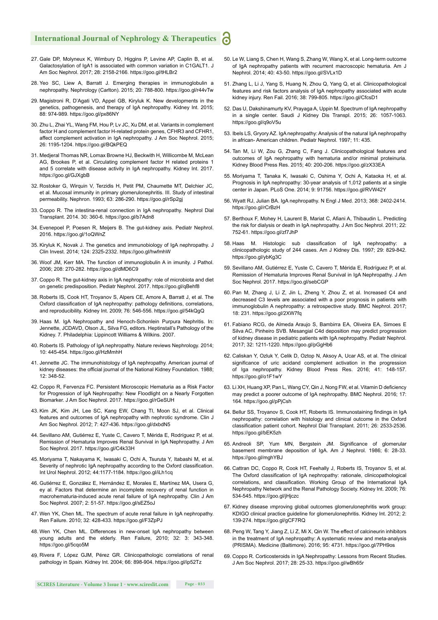#### **International Journal of Nephrology & Therapeutics** ്

- 27. Gale DP, Molyneux K, Wimbury D, Higgins P, Levine AP, Caplin B, et al. Galactosylation of IgA1 is associated with common variation in C1GALT1. J Am Soc Nephrol. 2017; 28: 2158-2166. https://goo.gl/tHLBr2
- 28. Yeo SC, Liew A, Barratt J. Emerging therapies in immunoglobulin a nephropathy. Nephrology (Carlton). 2015; 20: 788-800. https://goo.gl/r44vTw
- 29. Magistroni R, D'Agati VD, Appel GB, Kiryluk K. New developments in the genetics, pathogenesis, and therapy of IgA nephropathy. Kidney Int. 2015; 88: 974-989. https://goo.gl/px86NY
- 30. Zhu L, Zhai YL, Wang FM, Hou P, Lv JC, Xu DM, et al. Variants in complement factor H and complement factor H-related protein genes, CFHR3 and CFHR1, affect complement activation in IgA nephropathy. J Am Soc Nephrol. 2015; 26: 1195-1204. https://goo.gl/BQkPEQ
- 31. Medjeral Thomas NR, Lomax Browne HJ, Beckwith H, Willicombe M, McLean AG, Brookes P, et al. Circulating complement factor H related proteins 1 and 5 correlate with disease activity in IgA nephropathy. Kidney Int. 2017. https://goo.gl/GJXgbB
- 32. Rostoker G, Wirquin V, Terzidis H, Petit PM, Chaumette MT, Delchier JC, et al. Mucosal immunity in primary glomerulonephritis. III. Study of intestinal permeability. Nephron. 1993; 63: 286-290. https://goo.gl/rSp2gj
- 33. Coppo R. The intestina-renal connection in IgA nephropathy. Nephrol Dial Transplant. 2014. 30: 360-6. https://goo.gl/b7Adn8
- 34. Evenepoel P, Poesen R, Meijers B. The gut-kidney axis. Pediatr Nephrol. 2016. https://goo.gl/1oQWnZ
- 35. Kiryluk K, Novak J. The genetics and immunobiology of IgA nephropathy. J Clin Invest. 2014; 124: 2325-2332. https://goo.gl/hwfmhW
- 36. Woof JM, Kerr MA. The function of immunoglobulin A in imunity. J Pathol. 2006; 208: 270-282. https://goo.gl/dMD6C9
- 37. Coppo R. The gut-kidney axis in IgA nephropathy: role of microbiota and diet on genetic predisposition. Pediatr Nephrol. 2017. https://goo.gl/qBehf8
- 38. Roberts IS, Cook HT, Troyanov S, Alpers CE, Amore A, Barratt J, et al. The Oxford classification of IgA nephropathy: pathology definitions, correlations, and reproducibility. Kidney Int. 2009; 76: 546-556. https://goo.gl/54kQgQ
- 39. Haas M. IgA Nephropathy and Henoch-Schonlein Purpura Nephritis. In: Jennette, JCDAVD, Olson JL, Silva FG, editors. Heptinstall's Pathology of the Kidney. 7. Philadelphia: Lippincott Williams & Wilkins. 2007.
- 40. Roberts IS. Pathology of IgA nephropathy. Nature reviews Nephrology. 2014; 10: 445-454. https://goo.gl/HzMmhH
- 41. Jennette JC. The immunohistology of IgA nephropathy. American journal of kidney diseases: the official journal of the National Kidney Foundation. 1988; 12: 348-52.
- 42. Coppo R, Fervenza FC. Persistent Microscopic Hematuria as a Risk Factor for Progression of IgA Nephropathy: New Floodlight on a Nearly Forgotten Biomarker. J Am Soc Nephrol. 2017. https://goo.gl/rGeSUH
- 43. Kim JK, Kim JH, Lee SC, Kang EW, Chang TI, Moon SJ, et al. Clinical features and outcomes of IgA nephropathy with nephrotic syndrome. Clin J Am Soc Nephrol. 2012; 7: 427-436. https://goo.gl/dxbdN5
- 44. Sevillano AM, Gutiérrez E, Yuste C, Cavero T, Mérida E, Rodríguez P, et al. Remission of Hematuria Improves Renal Survival in IgA Nephropathy. J Am Soc Nephrol. 2017. https://goo.gl/C4k33H
- 45. Moriyama T, Nakayama K, Iwasaki C, Ochi A, Tsuruta Y, Itabashi M, et al. Severity of nephrotic IgA nephropathy according to the Oxford classification. Int Urol Nephrol. 2012; 44:1177-1184. https://goo.gl/iLh1cq
- 46. Gutiérrez E, González E, Hernández E, Morales E, Martínez MA, Usera G, ey al. Factors that determine an incomplete recovery of renal function in macrohematuria-induced acute renal failure of IgA nephropathy. Clin J Am Soc Nephrol. 2007; 2: 51-57. https://goo.gl/sEZ5oJ
- 47. Wen YK, Chen ML. The spectrum of acute renal failure in IgA nephropathy. Ren Failure. 2010; 32: 428-433. https://goo.gl/F3ZpPJ
- 48. Wen YK, Chen ML. Differences in new-onset IgA nephropathy between young adults and the elderly. Ren Failure, 2010; 32: 3: 343-348. https://goo.gl/5cqo5M
- 49. Rivera F, López GJM, Pérez GR. Clinicopathologic correlations of renal pathology in Spain. Kidney Int. 2004; 66: 898-904. https://goo.gl/ip52Tz
- 50. Le W, Liang S, Chen H, Wang S, Zhang W, Wang X, et al. Long-term outcome of IgA nephropathy patients with recurrent macroscopic hematuria. Am J Nephrol. 2014; 40: 43-50. https://goo.gl/SVLx1D
- 51. Zhang L, Li J, Yang S, Huang N, Zhou Q, Yang Q, et al. Clinicopathological features and risk factors analysis of IgA nephropathy associated with acute kidney injury. Ren Fail. 2016; 38: 799-805. https://goo.gl/CfcsD1
- 52. Das U, Dakshinamurty KV, Prayaga A, Uppin M. Spectrum of IgA nephropathy in a single center. Saudi J Kidney Dis Transpl. 2015; 26: 1057-1063. https://goo.gl/q9oV5u
- 53. Ibels LS, Gryory AZ. IgA nephropathy: Analysis of the natural IgA nephropathy in african- American children. Pediatr Nephrol. 1997; 11: 435.
- 54. Tan M, Li W, Zou G, Zhang C, Fang J. Clinicopathological features and outcomes of IgA nephropathy with hematuria and/or minimal proteinuria. Kidney Blood Press Res. 2015; 40: 200-206. https://goo.gl/zX33EA
- 55. Moriyama T, Tanaka K, Iwasaki C, Oshima Y, Ochi A, Kataoka H, et al. Prognosis in IgA nephropathy: 30-year analysis of 1,012 patients at a single center in Japan. PLoS One. 2014; 9: 91756. https://goo.gl/RVW42Y
- 56. Wyatt RJ, Julian BA. IgA nephropathy. N Engl J Med. 2013; 368: 2402-2414. https://goo.gl/rCrBzH
- 57. Berthoux F, Mohey H, Laurent B, Mariat C, Afiani A, Thibaudin L. Predicting the risk for dialysis or death in IgA nephropathy. J Am Soc Nephrol. 2011; 22: 752-61. https://goo.gl/zf7JhP
- 58. Haas M. Histologic sub classification of IgA nephropathy: clinicopathologic study of 244 cases. Am J Kidney Dis. 1997; 29: 829-842. https://goo.gl/ybKg3C
- 59. Sevillano AM, Gutiérrez E, Yuste C, Cavero T, Mérida E, Rodríguez P, et al. Remission of Hematuria Improves Renal Survival in IgA Nephropathy. J Am Soc Nephrol. 2017. https://goo.gl/sebCGP
- 60. Pan M, Zhang J, Li Z, Jin L, Zheng Y, Zhou Z, et al. Increased C4 and decreased C3 levels are associated with a poor prognosis in patients with immunoglobulin A nephropathy: a retrospective study. BMC Nephrol. 2017; 18: 231. https://goo.gl/2XW7fq
- 61. Fabiano RCG, de Almeda Araujo S, Bambirra EA, Oliveira EA, Simoes E Silva AC, Pinheiro SVB. Mesangial C4d deposition may predict progression of kidney disease in pediatric patients with IgA nephropathy. Pediatr Nephrol. 2017; 32: 1211-1220. https://goo.gl/pGgHb6
- 62. Caliskan Y, Ozluk Y, Celik D, Oztop N, Aksoy A, Ucar AS, et al. The clinical significance of uric acidand complement activation in the progression of Iga nephropathy. Kidney Blood Press Res. 2016; 41: 148-157. https://goo.gl/o1F1wY
- 63. Li XH, Huang XP, Pan L, Wang CY, Qin J, Nong FW, et al. Vitamin D deficiency may predict a poorer outcome of IgA nephropathy. BMC Nephrol. 2016; 17: 164. https://goo.gl/pPjCsh
- 64. Bellur SS, Troyanov S, Cook HT, Roberts IS. Immunostaining findings in IgA nephropathy: correlation with histology and clinical outcome in the Oxford classification patient cohort. Nephrol Dial Transplant. 2011; 26: 2533-2536. https://goo.gl/bEK5zh
- 65. Andreoli SP, Yum MN, Bergstein JM. Significance of glomerular basement membrane deposition of IgA. Am J Nephrol. 1986; 6: 28-33. https://goo.gl/mghYBJ
- 66. Cattran DC, Coppo R, Cook HT, Feehally J, Roberts IS, Troyanov S, et al. The Oxford classification of IgA nephropathy: rationale, clinicopathological correlations, and classification. Working Group of the International IgA Nephropathy Network and the Renal Pathology Society. Kidney Int. 2009; 76: 534-545. https://goo.gl/jHjczc
- 67. Kidney disease ımproving global outcomes glomerulonephritis work group: KDIGO clinical practice guideline for glomerulonephritis. Kidney Int. 2012; 2: 139-274. https://goo.gl/gCF7RQ
- 68. Peng W, Tang Y, Jiang Z, Li Z, Mi X, Qin W. The effect of calcineurin inhibitors in the treatment of IgA nephropathy: A systematic review and meta-analysis (PRISMA). Medicine (Baltimore). 2016; 95: 4731. https://goo.gl/7PH9os
- 69. Coppo R. Corticosteroids in IgA Nephropathy: Lessons from Recent Studies. J Am Soc Nephrol. 2017; 28: 25-33. https://goo.gl/wBh65r